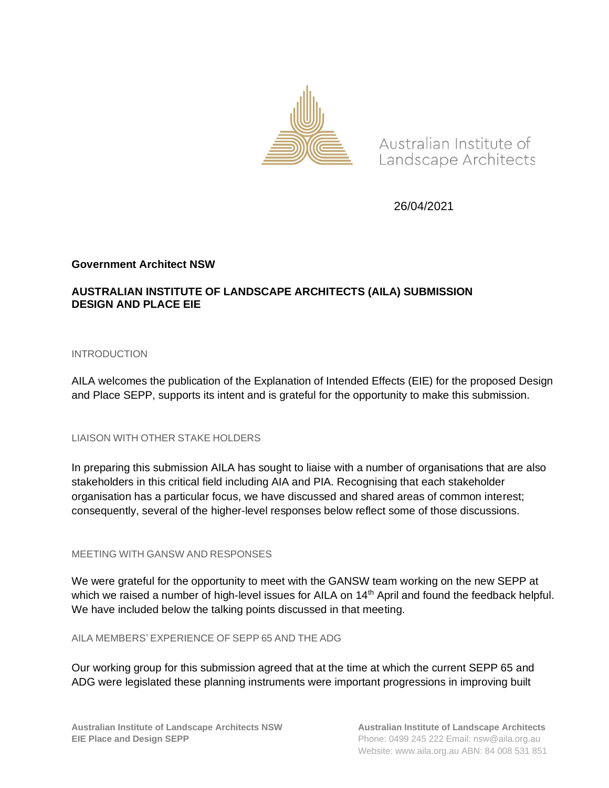

Australian Institute of Landscape Architects

26/04/2021

### **Government Architect NSW**

# **AUSTRALIAN INSTITUTE OF LANDSCAPE ARCHITECTS (AILA) SUBMISSION DESIGN AND PLACE EIE**

### INTRODUCTION

AILA welcomes the publication of the Explanation of Intended Effects (EIE) for the proposed Design and Place SEPP, supports its intent and is grateful for the opportunity to make this submission.

### LIAISON WITH OTHER STAKE HOLDERS

In preparing this submission AILA has sought to liaise with a number of organisations that are also stakeholders in this critical field including AIA and PIA. Recognising that each stakeholder organisation has a particular focus, we have discussed and shared areas of common interest; consequently, several of the higher-level responses below reflect some of those discussions.

#### MEETING WITH GANSW AND RESPONSES

We were grateful for the opportunity to meet with the GANSW team working on the new SEPP at which we raised a number of high-level issues for AILA on 14<sup>th</sup> April and found the feedback helpful. We have included below the talking points discussed in that meeting.

AILA MEMBERS' EXPERIENCE OF SEPP 65 AND THE ADG

Our working group for this submission agreed that at the time at which the current SEPP 65 and ADG were legislated these planning instruments were important progressions in improving built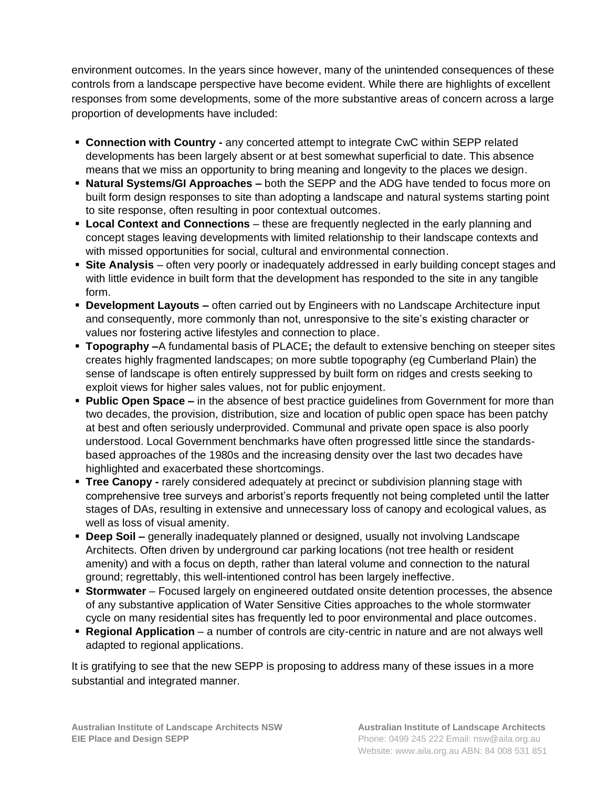environment outcomes. In the years since however, many of the unintended consequences of these controls from a landscape perspective have become evident. While there are highlights of excellent responses from some developments, some of the more substantive areas of concern across a large proportion of developments have included:

- **EX Connection with Country any concerted attempt to integrate CwC within SEPP related** developments has been largely absent or at best somewhat superficial to date. This absence means that we miss an opportunity to bring meaning and longevity to the places we design.
- **EXECT Approaches –** both the SEPP and the ADG have tended to focus more on built form design responses to site than adopting a landscape and natural systems starting point to site response, often resulting in poor contextual outcomes.
- **Example 2 Local Context and Connections** these are frequently neglected in the early planning and concept stages leaving developments with limited relationship to their landscape contexts and with missed opportunities for social, cultural and environmental connection.
- **Site Analysis** often very poorly or inadequately addressed in early building concept stages and with little evidence in built form that the development has responded to the site in any tangible form.
- **Development Layouts –** often carried out by Engineers with no Landscape Architecture input and consequently, more commonly than not, unresponsive to the site's existing character or values nor fostering active lifestyles and connection to place.
- **Topography –**A fundamental basis of PLACE**;** the default to extensive benching on steeper sites creates highly fragmented landscapes; on more subtle topography (eg Cumberland Plain) the sense of landscape is often entirely suppressed by built form on ridges and crests seeking to exploit views for higher sales values, not for public enjoyment.
- **Public Open Space –** in the absence of best practice guidelines from Government for more than two decades, the provision, distribution, size and location of public open space has been patchy at best and often seriously underprovided. Communal and private open space is also poorly understood. Local Government benchmarks have often progressed little since the standardsbased approaches of the 1980s and the increasing density over the last two decades have highlighted and exacerbated these shortcomings.
- **Tree Canopy -** rarely considered adequately at precinct or subdivision planning stage with comprehensive tree surveys and arborist's reports frequently not being completed until the latter stages of DAs, resulting in extensive and unnecessary loss of canopy and ecological values, as well as loss of visual amenity.
- **Deep Soil –** generally inadequately planned or designed, usually not involving Landscape Architects. Often driven by underground car parking locations (not tree health or resident amenity) and with a focus on depth, rather than lateral volume and connection to the natural ground; regrettably, this well-intentioned control has been largely ineffective.
- **Stormwater** Focused largely on engineered outdated onsite detention processes, the absence of any substantive application of Water Sensitive Cities approaches to the whole stormwater cycle on many residential sites has frequently led to poor environmental and place outcomes.
- **Regional Application** a number of controls are city-centric in nature and are not always well adapted to regional applications.

It is gratifying to see that the new SEPP is proposing to address many of these issues in a more substantial and integrated manner.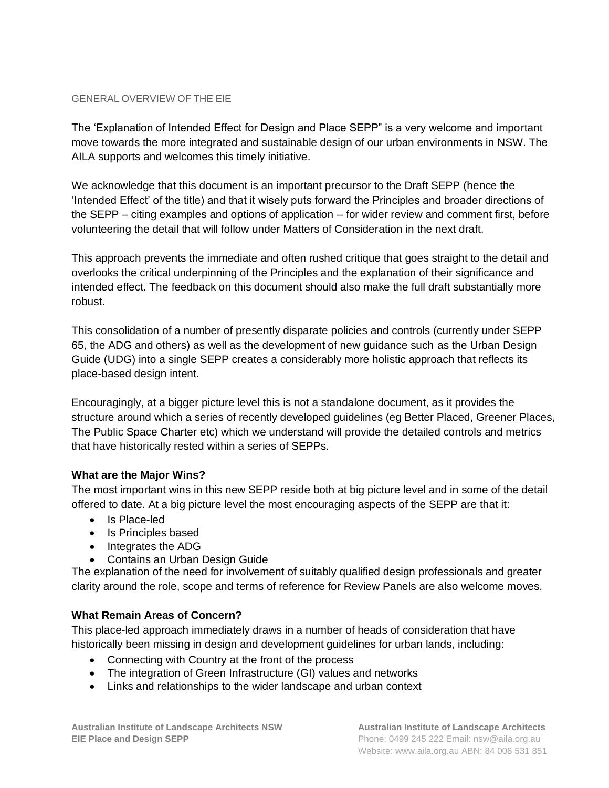#### GENERAL OVERVIEW OF THE EIE

The 'Explanation of Intended Effect for Design and Place SEPP" is a very welcome and important move towards the more integrated and sustainable design of our urban environments in NSW. The AILA supports and welcomes this timely initiative.

We acknowledge that this document is an important precursor to the Draft SEPP (hence the 'Intended Effect' of the title) and that it wisely puts forward the Principles and broader directions of the SEPP – citing examples and options of application – for wider review and comment first, before volunteering the detail that will follow under Matters of Consideration in the next draft.

This approach prevents the immediate and often rushed critique that goes straight to the detail and overlooks the critical underpinning of the Principles and the explanation of their significance and intended effect. The feedback on this document should also make the full draft substantially more robust.

This consolidation of a number of presently disparate policies and controls (currently under SEPP 65, the ADG and others) as well as the development of new guidance such as the Urban Design Guide (UDG) into a single SEPP creates a considerably more holistic approach that reflects its place-based design intent.

Encouragingly, at a bigger picture level this is not a standalone document, as it provides the structure around which a series of recently developed guidelines (eg Better Placed, Greener Places, The Public Space Charter etc) which we understand will provide the detailed controls and metrics that have historically rested within a series of SEPPs.

# **What are the Major Wins?**

The most important wins in this new SEPP reside both at big picture level and in some of the detail offered to date. At a big picture level the most encouraging aspects of the SEPP are that it:

- Is Place-led
- Is Principles based
- Integrates the ADG
- Contains an Urban Design Guide

The explanation of the need for involvement of suitably qualified design professionals and greater clarity around the role, scope and terms of reference for Review Panels are also welcome moves.

# **What Remain Areas of Concern?**

This place-led approach immediately draws in a number of heads of consideration that have historically been missing in design and development guidelines for urban lands, including:

- Connecting with Country at the front of the process
- The integration of Green Infrastructure (GI) values and networks
- Links and relationships to the wider landscape and urban context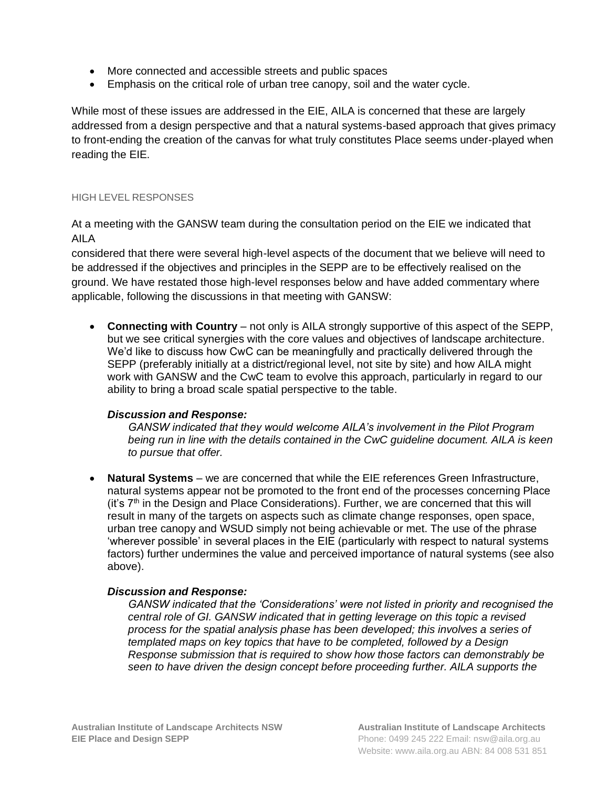- More connected and accessible streets and public spaces
- Emphasis on the critical role of urban tree canopy, soil and the water cycle.

While most of these issues are addressed in the EIE, AILA is concerned that these are largely addressed from a design perspective and that a natural systems-based approach that gives primacy to front-ending the creation of the canvas for what truly constitutes Place seems under-played when reading the EIE.

### HIGH LEVEL RESPONSES

At a meeting with the GANSW team during the consultation period on the EIE we indicated that AILA

considered that there were several high-level aspects of the document that we believe will need to be addressed if the objectives and principles in the SEPP are to be effectively realised on the ground. We have restated those high-level responses below and have added commentary where applicable, following the discussions in that meeting with GANSW:

• **Connecting with Country** – not only is AILA strongly supportive of this aspect of the SEPP, but we see critical synergies with the core values and objectives of landscape architecture. We'd like to discuss how CwC can be meaningfully and practically delivered through the SEPP (preferably initially at a district/regional level, not site by site) and how AILA might work with GANSW and the CwC team to evolve this approach, particularly in regard to our ability to bring a broad scale spatial perspective to the table.

# *Discussion and Response:*

*GANSW indicated that they would welcome AILA's involvement in the Pilot Program being run in line with the details contained in the CwC guideline document. AILA is keen to pursue that offer.*

• **Natural Systems** – we are concerned that while the EIE references Green Infrastructure, natural systems appear not be promoted to the front end of the processes concerning Place (it's  $7<sup>th</sup>$  in the Design and Place Considerations). Further, we are concerned that this will result in many of the targets on aspects such as climate change responses, open space, urban tree canopy and WSUD simply not being achievable or met. The use of the phrase 'wherever possible' in several places in the EIE (particularly with respect to natural systems factors) further undermines the value and perceived importance of natural systems (see also above).

# *Discussion and Response:*

*GANSW indicated that the 'Considerations' were not listed in priority and recognised the central role of GI. GANSW indicated that in getting leverage on this topic a revised process for the spatial analysis phase has been developed; this involves a series of templated maps on key topics that have to be completed, followed by a Design Response submission that is required to show how those factors can demonstrably be seen to have driven the design concept before proceeding further. AILA supports the*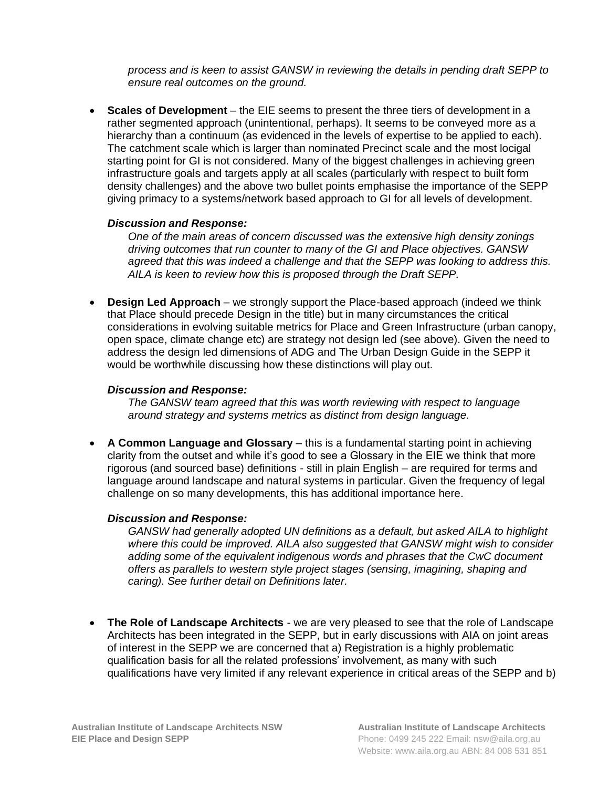*process and is keen to assist GANSW in reviewing the details in pending draft SEPP to ensure real outcomes on the ground.*

• **Scales of Development** – the EIE seems to present the three tiers of development in a rather segmented approach (unintentional, perhaps). It seems to be conveyed more as a hierarchy than a continuum (as evidenced in the levels of expertise to be applied to each). The catchment scale which is larger than nominated Precinct scale and the most locigal starting point for GI is not considered. Many of the biggest challenges in achieving green infrastructure goals and targets apply at all scales (particularly with respect to built form density challenges) and the above two bullet points emphasise the importance of the SEPP giving primacy to a systems/network based approach to GI for all levels of development.

## *Discussion and Response:*

*One of the main areas of concern discussed was the extensive high density zonings driving outcomes that run counter to many of the GI and Place objectives. GANSW agreed that this was indeed a challenge and that the SEPP was looking to address this. AILA is keen to review how this is proposed through the Draft SEPP.*

• **Design Led Approach** – we strongly support the Place-based approach (indeed we think that Place should precede Design in the title) but in many circumstances the critical considerations in evolving suitable metrics for Place and Green Infrastructure (urban canopy, open space, climate change etc) are strategy not design led (see above). Given the need to address the design led dimensions of ADG and The Urban Design Guide in the SEPP it would be worthwhile discussing how these distinctions will play out.

## *Discussion and Response:*

*The GANSW team agreed that this was worth reviewing with respect to language around strategy and systems metrics as distinct from design language.*

• **A Common Language and Glossary** – this is a fundamental starting point in achieving clarity from the outset and while it's good to see a Glossary in the EIE we think that more rigorous (and sourced base) definitions - still in plain English – are required for terms and language around landscape and natural systems in particular. Given the frequency of legal challenge on so many developments, this has additional importance here.

# *Discussion and Response:*

*GANSW had generally adopted UN definitions as a default, but asked AILA to highlight where this could be improved. AILA also suggested that GANSW might wish to consider adding some of the equivalent indigenous words and phrases that the CwC document offers as parallels to western style project stages (sensing, imagining, shaping and caring). See further detail on Definitions later.*

• **The Role of Landscape Architects** - we are very pleased to see that the role of Landscape Architects has been integrated in the SEPP, but in early discussions with AIA on joint areas of interest in the SEPP we are concerned that a) Registration is a highly problematic qualification basis for all the related professions' involvement, as many with such qualifications have very limited if any relevant experience in critical areas of the SEPP and b)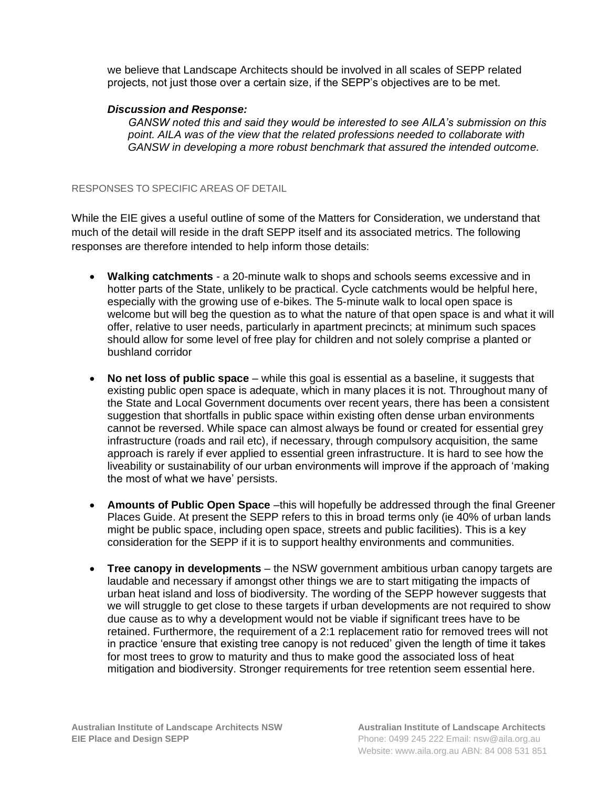we believe that Landscape Architects should be involved in all scales of SEPP related projects, not just those over a certain size, if the SEPP's objectives are to be met.

## *Discussion and Response:*

*GANSW noted this and said they would be interested to see AILA's submission on this point. AILA was of the view that the related professions needed to collaborate with GANSW in developing a more robust benchmark that assured the intended outcome.*

### RESPONSES TO SPECIFIC AREAS OF DETAIL

While the EIE gives a useful outline of some of the Matters for Consideration, we understand that much of the detail will reside in the draft SEPP itself and its associated metrics. The following responses are therefore intended to help inform those details:

- **Walking catchments** a 20-minute walk to shops and schools seems excessive and in hotter parts of the State, unlikely to be practical. Cycle catchments would be helpful here, especially with the growing use of e-bikes. The 5-minute walk to local open space is welcome but will beg the question as to what the nature of that open space is and what it will offer, relative to user needs, particularly in apartment precincts; at minimum such spaces should allow for some level of free play for children and not solely comprise a planted or bushland corridor
- **No net loss of public space** while this goal is essential as a baseline, it suggests that existing public open space is adequate, which in many places it is not. Throughout many of the State and Local Government documents over recent years, there has been a consistent suggestion that shortfalls in public space within existing often dense urban environments cannot be reversed. While space can almost always be found or created for essential grey infrastructure (roads and rail etc), if necessary, through compulsory acquisition, the same approach is rarely if ever applied to essential green infrastructure. It is hard to see how the liveability or sustainability of our urban environments will improve if the approach of 'making the most of what we have' persists.
- **Amounts of Public Open Space** –this will hopefully be addressed through the final Greener Places Guide. At present the SEPP refers to this in broad terms only (ie 40% of urban lands might be public space, including open space, streets and public facilities). This is a key consideration for the SEPP if it is to support healthy environments and communities.
- **Tree canopy in developments**  the NSW government ambitious urban canopy targets are laudable and necessary if amongst other things we are to start mitigating the impacts of urban heat island and loss of biodiversity. The wording of the SEPP however suggests that we will struggle to get close to these targets if urban developments are not required to show due cause as to why a development would not be viable if significant trees have to be retained. Furthermore, the requirement of a 2:1 replacement ratio for removed trees will not in practice 'ensure that existing tree canopy is not reduced' given the length of time it takes for most trees to grow to maturity and thus to make good the associated loss of heat mitigation and biodiversity. Stronger requirements for tree retention seem essential here.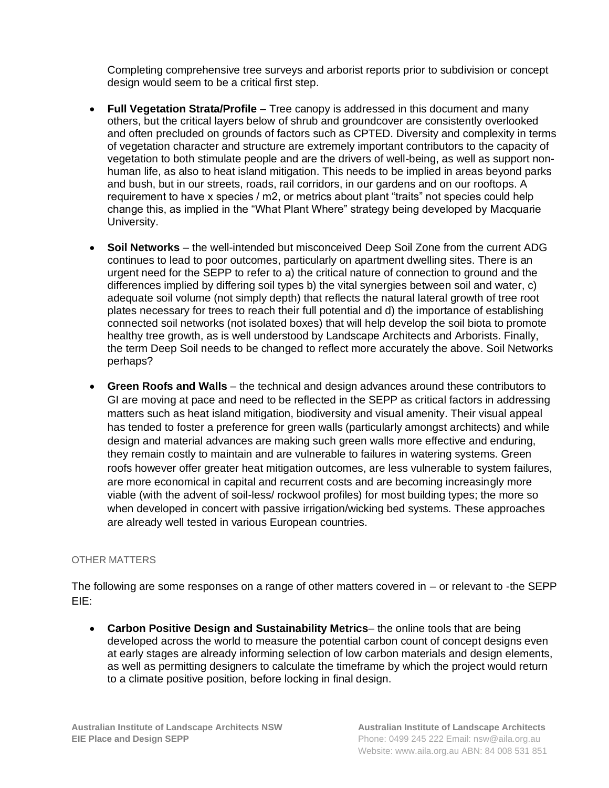Completing comprehensive tree surveys and arborist reports prior to subdivision or concept design would seem to be a critical first step.

- **Full Vegetation Strata/Profile** Tree canopy is addressed in this document and many others, but the critical layers below of shrub and groundcover are consistently overlooked and often precluded on grounds of factors such as CPTED. Diversity and complexity in terms of vegetation character and structure are extremely important contributors to the capacity of vegetation to both stimulate people and are the drivers of well-being, as well as support nonhuman life, as also to heat island mitigation. This needs to be implied in areas beyond parks and bush, but in our streets, roads, rail corridors, in our gardens and on our rooftops. A requirement to have x species / m2, or metrics about plant "traits" not species could help change this, as implied in the "What Plant Where" strategy being developed by Macquarie University.
- **Soil Networks**  the well-intended but misconceived Deep Soil Zone from the current ADG continues to lead to poor outcomes, particularly on apartment dwelling sites. There is an urgent need for the SEPP to refer to a) the critical nature of connection to ground and the differences implied by differing soil types b) the vital synergies between soil and water, c) adequate soil volume (not simply depth) that reflects the natural lateral growth of tree root plates necessary for trees to reach their full potential and d) the importance of establishing connected soil networks (not isolated boxes) that will help develop the soil biota to promote healthy tree growth, as is well understood by Landscape Architects and Arborists. Finally, the term Deep Soil needs to be changed to reflect more accurately the above. Soil Networks perhaps?
- **Green Roofs and Walls** the technical and design advances around these contributors to GI are moving at pace and need to be reflected in the SEPP as critical factors in addressing matters such as heat island mitigation, biodiversity and visual amenity. Their visual appeal has tended to foster a preference for green walls (particularly amongst architects) and while design and material advances are making such green walls more effective and enduring, they remain costly to maintain and are vulnerable to failures in watering systems. Green roofs however offer greater heat mitigation outcomes, are less vulnerable to system failures, are more economical in capital and recurrent costs and are becoming increasingly more viable (with the advent of soil-less/ rockwool profiles) for most building types; the more so when developed in concert with passive irrigation/wicking bed systems. These approaches are already well tested in various European countries.

### OTHER MATTERS

The following are some responses on a range of other matters covered in – or relevant to -the SEPP EIE:

• **Carbon Positive Design and Sustainability Metrics**– the online tools that are being developed across the world to measure the potential carbon count of concept designs even at early stages are already informing selection of low carbon materials and design elements, as well as permitting designers to calculate the timeframe by which the project would return to a climate positive position, before locking in final design.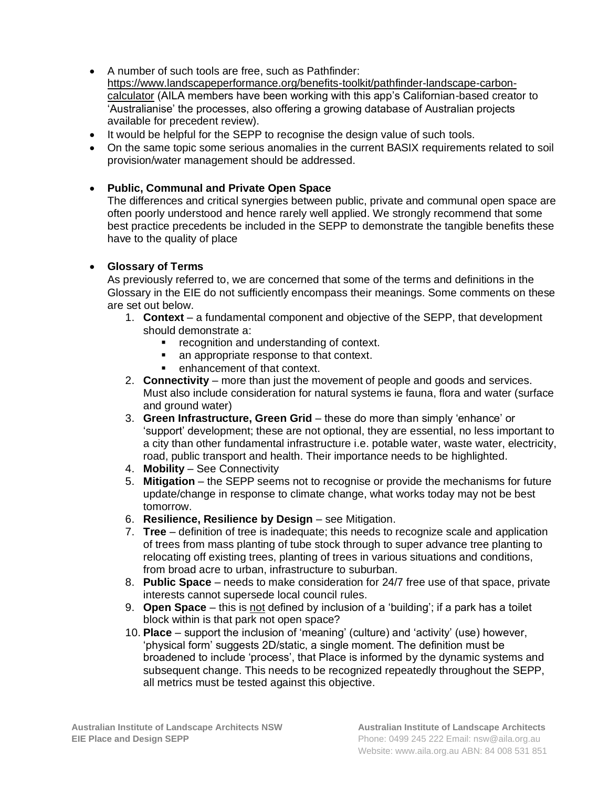- A number of such tools are free, such as Pathfinder: [https://www.landscapeperformance.org/benefits-toolkit/pathfinder-landscape-carbon](https://www.landscapeperformance.org/benefits-toolkit/pathfinder-landscape-carbon-calculator)[calculator](https://www.landscapeperformance.org/benefits-toolkit/pathfinder-landscape-carbon-calculator) (AILA members have been working with this app's Californian-based creator to 'Australianise' the processes, also offering a growing database of Australian projects available for precedent review).
- It would be helpful for the SEPP to recognise the design value of such tools.
- On the same topic some serious anomalies in the current BASIX requirements related to soil provision/water management should be addressed.

## • **Public, Communal and Private Open Space**

The differences and critical synergies between public, private and communal open space are often poorly understood and hence rarely well applied. We strongly recommend that some best practice precedents be included in the SEPP to demonstrate the tangible benefits these have to the quality of place

### • **Glossary of Terms**

As previously referred to, we are concerned that some of the terms and definitions in the Glossary in the EIE do not sufficiently encompass their meanings. Some comments on these are set out below.

- 1. **Context** a fundamental component and objective of the SEPP, that development should demonstrate a:
	- recognition and understanding of context.
	- an appropriate response to that context.
	- enhancement of that context.
- 2. **Connectivity** more than just the movement of people and goods and services. Must also include consideration for natural systems ie fauna, flora and water (surface and ground water)
- 3. **Green Infrastructure, Green Grid** these do more than simply 'enhance' or 'support' development; these are not optional, they are essential, no less important to a city than other fundamental infrastructure i.e. potable water, waste water, electricity, road, public transport and health. Their importance needs to be highlighted.
- 4. **Mobility** See Connectivity
- 5. **Mitigation** the SEPP seems not to recognise or provide the mechanisms for future update/change in response to climate change, what works today may not be best tomorrow.
- 6. **Resilience, Resilience by Design** see Mitigation.
- 7. **Tree** definition of tree is inadequate; this needs to recognize scale and application of trees from mass planting of tube stock through to super advance tree planting to relocating off existing trees, planting of trees in various situations and conditions, from broad acre to urban, infrastructure to suburban.
- 8. **Public Space** needs to make consideration for 24/7 free use of that space, private interests cannot supersede local council rules.
- 9. **Open Space** this is not defined by inclusion of a 'building'; if a park has a toilet block within is that park not open space?
- 10. **Place** support the inclusion of 'meaning' (culture) and 'activity' (use) however, 'physical form' suggests 2D/static, a single moment. The definition must be broadened to include 'process', that Place is informed by the dynamic systems and subsequent change. This needs to be recognized repeatedly throughout the SEPP, all metrics must be tested against this objective.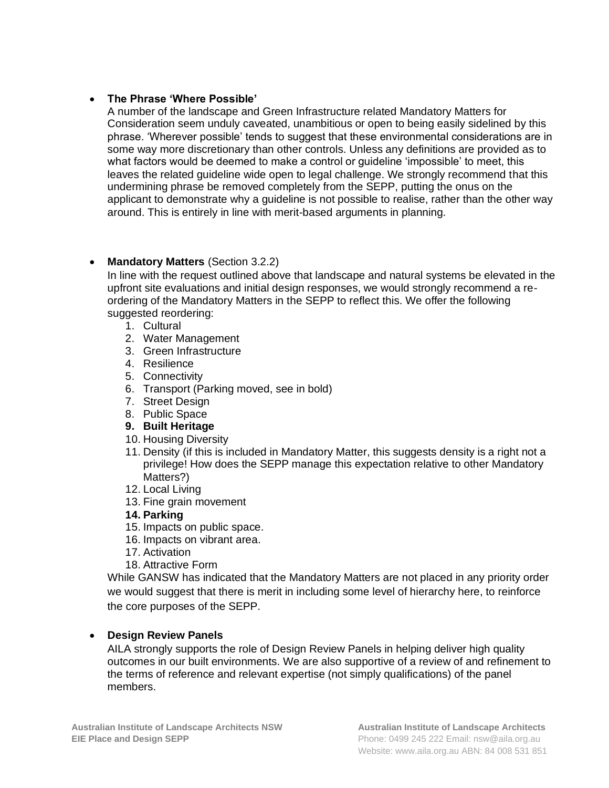# • **The Phrase 'Where Possible'**

A number of the landscape and Green Infrastructure related Mandatory Matters for Consideration seem unduly caveated, unambitious or open to being easily sidelined by this phrase. 'Wherever possible' tends to suggest that these environmental considerations are in some way more discretionary than other controls. Unless any definitions are provided as to what factors would be deemed to make a control or guideline 'impossible' to meet, this leaves the related guideline wide open to legal challenge. We strongly recommend that this undermining phrase be removed completely from the SEPP, putting the onus on the applicant to demonstrate why a guideline is not possible to realise, rather than the other way around. This is entirely in line with merit-based arguments in planning.

# • **Mandatory Matters** (Section 3.2.2)

In line with the request outlined above that landscape and natural systems be elevated in the upfront site evaluations and initial design responses, we would strongly recommend a reordering of the Mandatory Matters in the SEPP to reflect this. We offer the following suggested reordering:

- 1. Cultural
- 2. Water Management
- 3. Green Infrastructure
- 4. Resilience
- 5. Connectivity
- 6. Transport (Parking moved, see in bold)
- 7. Street Design
- 8. Public Space
- **9. Built Heritage**
- 10. Housing Diversity
- 11. Density (if this is included in Mandatory Matter, this suggests density is a right not a privilege! How does the SEPP manage this expectation relative to other Mandatory Matters?)
- 12. Local Living
- 13. Fine grain movement
- **14. Parking**
- 15. Impacts on public space.
- 16. Impacts on vibrant area.
- 17. Activation
- 18. Attractive Form

While GANSW has indicated that the Mandatory Matters are not placed in any priority order we would suggest that there is merit in including some level of hierarchy here, to reinforce the core purposes of the SEPP.

# • **Design Review Panels**

AILA strongly supports the role of Design Review Panels in helping deliver high quality outcomes in our built environments. We are also supportive of a review of and refinement to the terms of reference and relevant expertise (not simply qualifications) of the panel members.